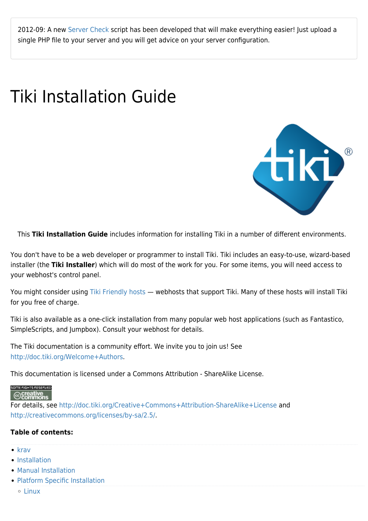2012-09: A new [Server Check](https://doc.tiki.org/Server-Check) script has been developed that will make everything easier! Just upload a single PHP file to your server and you will get advice on your server configuration.

## Tiki Installation Guide



This **Tiki Installation Guide** includes information for installing Tiki in a number of different environments.

You don't have to be a web developer or programmer to install Tiki. Tiki includes an easy-to-use, wizard-based installer (the **Tiki Installer**) which will do most of the work for you. For some items, you will need access to your webhost's control panel.

You might consider using [Tiki Friendly hosts](http://tiki.org/Tiki+friendly+hosts) — webhosts that support Tiki. Many of these hosts will install Tiki for you free of charge.

Tiki is also available as a one-click installation from many popular web host applications (such as Fantastico, SimpleScripts, and Jumpbox). Consult your webhost for details.

The Tiki documentation is a community effort. We invite you to join us! See [http://doc.tiki.org/Welcome+Authors.](http://doc.tiki.org/Welcome+Authors)

This documentation is licensed under a Commons Attribution - ShareAlike License.

## SOME RIGHTS RESERVED

## $\odot$  creative<br> $\odot$  commons

For details, see <http://doc.tiki.org/Creative+Commons+Attribution-ShareAlike+License>and <http://creativecommons.org/licenses/by-sa/2.5/>.

## **Table of contents:**

- $\bullet$  [krav](https://doc.tiki.org/krav)
- [Installation](https://doc.tiki.org/Installation)
- [Manual Installation](https://doc.tiki.org/Manual-Installation)
- [Platform Specific Installation](https://doc.tiki.org/Platform-Specific-Installation)
	- [Linux](https://doc.tiki.org/Linux)